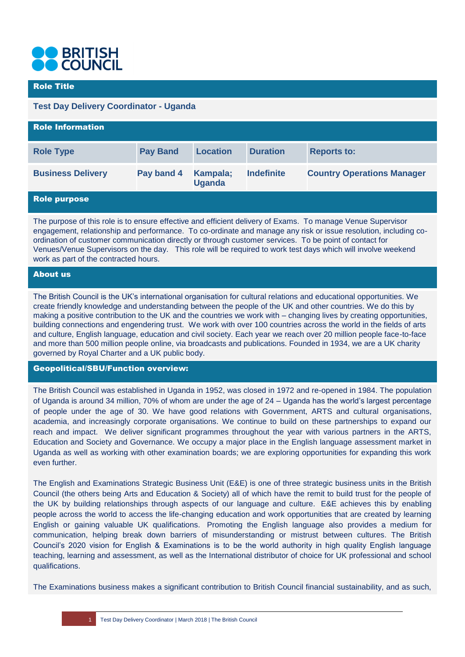

## Role Title

# **Test Day Delivery Coordinator - Uganda**

| <b>Role Information</b>  |                 |                           |                   |                                   |
|--------------------------|-----------------|---------------------------|-------------------|-----------------------------------|
| <b>Role Type</b>         | <b>Pay Band</b> | <b>Location</b>           | <b>Duration</b>   | <b>Reports to:</b>                |
| <b>Business Delivery</b> | Pay band 4      | Kampala;<br><b>Uganda</b> | <b>Indefinite</b> | <b>Country Operations Manager</b> |
| <b>Role purpose</b>      |                 |                           |                   |                                   |

The purpose of this role is to ensure effective and efficient delivery of Exams. To manage Venue Supervisor engagement, relationship and performance. To co-ordinate and manage any risk or issue resolution, including coordination of customer communication directly or through customer services. To be point of contact for Venues/Venue Supervisors on the day. This role will be required to work test days which will involve weekend work as part of the contracted hours.

# About us

The British Council is the UK's international organisation for cultural relations and educational opportunities. We create friendly knowledge and understanding between the people of the UK and other countries. We do this by making a positive contribution to the UK and the countries we work with – changing lives by creating opportunities, building connections and engendering trust. We work with over 100 countries across the world in the fields of arts and culture, English language, education and civil society. Each year we reach over 20 million people face-to-face and more than 500 million people online, via broadcasts and publications. Founded in 1934, we are a UK charity governed by Royal Charter and a UK public body.

## Geopolitical/SBU/Function overview:

The British Council was established in Uganda in 1952, was closed in 1972 and re-opened in 1984. The population of Uganda is around 34 million, 70% of whom are under the age of 24 – Uganda has the world's largest percentage of people under the age of 30. We have good relations with Government, ARTS and cultural organisations, academia, and increasingly corporate organisations. We continue to build on these partnerships to expand our reach and impact. We deliver significant programmes throughout the year with various partners in the ARTS, Education and Society and Governance. We occupy a major place in the English language assessment market in Uganda as well as working with other examination boards; we are exploring opportunities for expanding this work even further.

The English and Examinations Strategic Business Unit (E&E) is one of three strategic business units in the British Council (the others being Arts and Education & Society) all of which have the remit to build trust for the people of the UK by building relationships through aspects of our language and culture. E&E achieves this by enabling people across the world to access the life-changing education and work opportunities that are created by learning English or gaining valuable UK qualifications. Promoting the English language also provides a medium for communication, helping break down barriers of misunderstanding or mistrust between cultures. The British Council's 2020 vision for English & Examinations is to be the world authority in high quality English language teaching, learning and assessment, as well as the International distributor of choice for UK professional and school qualifications.

The Examinations business makes a significant contribution to British Council financial sustainability, and as such,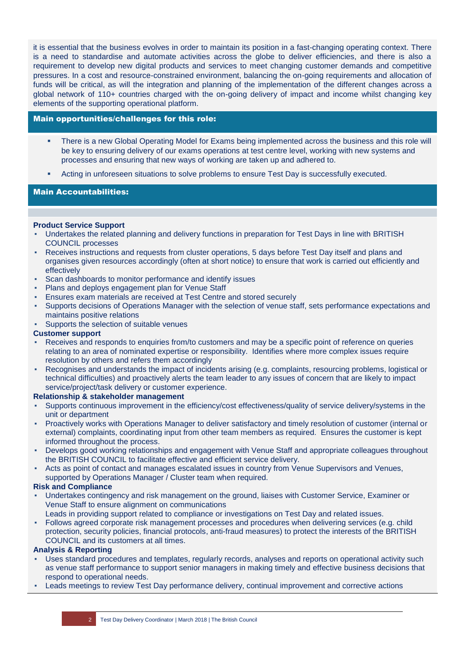it is essential that the business evolves in order to maintain its position in a fast-changing operating context. There is a need to standardise and automate activities across the globe to deliver efficiencies, and there is also a requirement to develop new digital products and services to meet changing customer demands and competitive pressures. In a cost and resource-constrained environment, balancing the on-going requirements and allocation of funds will be critical, as will the integration and planning of the implementation of the different changes across a global network of 110+ countries charged with the on-going delivery of impact and income whilst changing key elements of the supporting operational platform.

## Main opportunities/challenges for this role:

- There is a new Global Operating Model for Exams being implemented across the business and this role will be key to ensuring delivery of our exams operations at test centre level, working with new systems and processes and ensuring that new ways of working are taken up and adhered to.
- Acting in unforeseen situations to solve problems to ensure Test Day is successfully executed.

# Main Accountabilities:

#### **Product Service Support**

- Undertakes the related planning and delivery functions in preparation for Test Days in line with BRITISH COUNCIL processes
- Receives instructions and requests from cluster operations, 5 days before Test Day itself and plans and organises given resources accordingly (often at short notice) to ensure that work is carried out efficiently and effectively
- Scan dashboards to monitor performance and identify issues
- Plans and deploys engagement plan for Venue Staff
- Ensures exam materials are received at Test Centre and stored securely
- Supports decisions of Operations Manager with the selection of venue staff, sets performance expectations and maintains positive relations
- Supports the selection of suitable venues

#### **Customer support**

- Receives and responds to enquiries from/to customers and may be a specific point of reference on queries relating to an area of nominated expertise or responsibility. Identifies where more complex issues require resolution by others and refers them accordingly
- Recognises and understands the impact of incidents arising (e.g. complaints, resourcing problems, logistical or technical difficulties) and proactively alerts the team leader to any issues of concern that are likely to impact service/project/task delivery or customer experience.

## **Relationship & stakeholder management**

- Supports continuous improvement in the efficiency/cost effectiveness/quality of service delivery/systems in the unit or department
- Proactively works with Operations Manager to deliver satisfactory and timely resolution of customer (internal or external) complaints, coordinating input from other team members as required. Ensures the customer is kept informed throughout the process.
- Develops good working relationships and engagement with Venue Staff and appropriate colleagues throughout the BRITISH COUNCIL to facilitate effective and efficient service delivery.
- Acts as point of contact and manages escalated issues in country from Venue Supervisors and Venues, supported by Operations Manager / Cluster team when required.

#### **Risk and Compliance**

- Undertakes contingency and risk management on the ground, liaises with Customer Service, Examiner or Venue Staff to ensure alignment on communications
- Leads in providing support related to compliance or investigations on Test Day and related issues.
- Follows agreed corporate risk management processes and procedures when delivering services (e.g. child protection, security policies, financial protocols, anti-fraud measures) to protect the interests of the BRITISH COUNCIL and its customers at all times.

## **Analysis & Reporting**

- Uses standard procedures and templates, regularly records, analyses and reports on operational activity such as venue staff performance to support senior managers in making timely and effective business decisions that respond to operational needs.
- Leads meetings to review Test Day performance delivery, continual improvement and corrective actions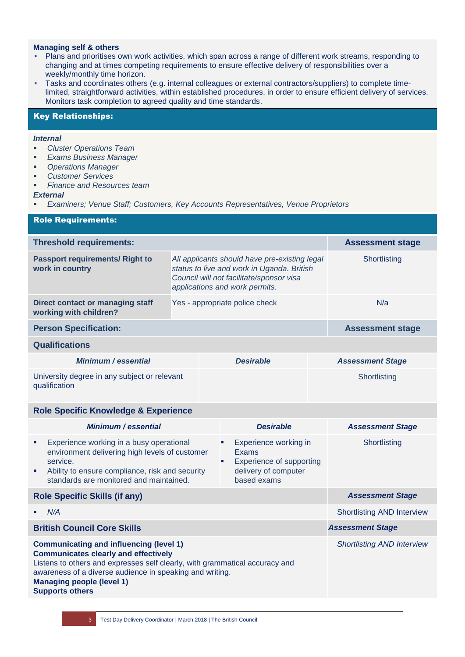# **Managing self & others**

- Plans and prioritises own work activities, which span across a range of different work streams, responding to changing and at times competing requirements to ensure effective delivery of responsibilities over a weekly/monthly time horizon.
- Tasks and coordinates others (e.g. internal colleagues or external contractors/suppliers) to complete timelimited, straightforward activities, within established procedures, in order to ensure efficient delivery of services. Monitors task completion to agreed quality and time standards.

# Key Relationships:

#### *Internal*

- *Cluster Operations Team*
- *Exams Business Manager*
- *Operations Manager*
- *Customer Services*
- *Finance and Resources team*

#### *External*

▪ *Examiners; Venue Staff; Customers, Key Accounts Representatives, Venue Proprietors*

| <b>Role Requirements:</b>                                     |                                                                                                                                                                           |                  |                         |                         |  |
|---------------------------------------------------------------|---------------------------------------------------------------------------------------------------------------------------------------------------------------------------|------------------|-------------------------|-------------------------|--|
| <b>Threshold requirements:</b>                                |                                                                                                                                                                           |                  |                         | <b>Assessment stage</b> |  |
| <b>Passport requirements/ Right to</b><br>work in country     | All applicants should have pre-existing legal<br>status to live and work in Uganda. British<br>Council will not facilitate/sponsor visa<br>applications and work permits. |                  | Shortlisting            |                         |  |
| Direct contact or managing staff<br>working with children?    | Yes - appropriate police check                                                                                                                                            |                  | N/a                     |                         |  |
| <b>Person Specification:</b>                                  |                                                                                                                                                                           |                  | <b>Assessment stage</b> |                         |  |
| <b>Qualifications</b>                                         |                                                                                                                                                                           |                  |                         |                         |  |
| Minimum / essential                                           |                                                                                                                                                                           | <b>Desirable</b> |                         | <b>Assessment Stage</b> |  |
| University degree in any subject or relevant<br>qualification |                                                                                                                                                                           |                  |                         | Shortlisting            |  |
| <b>Role Specific Knowledge &amp; Experience</b>               |                                                                                                                                                                           |                  |                         |                         |  |
|                                                               |                                                                                                                                                                           |                  |                         |                         |  |

| <b>Minimum / essential</b>                                                                                                                                                                                                                                                                      | <b>Desirable</b>                                                                                                   | <b>Assessment Stage</b>           |
|-------------------------------------------------------------------------------------------------------------------------------------------------------------------------------------------------------------------------------------------------------------------------------------------------|--------------------------------------------------------------------------------------------------------------------|-----------------------------------|
| Experience working in a busy operational<br>ш<br>environment delivering high levels of customer<br>service.<br>Ability to ensure compliance, risk and security<br>٠<br>standards are monitored and maintained.                                                                                  | Experience working in<br>٠<br><b>Exams</b><br>Experience of supporting<br>ш<br>delivery of computer<br>based exams | Shortlisting                      |
| <b>Role Specific Skills (if any)</b>                                                                                                                                                                                                                                                            | <b>Assessment Stage</b>                                                                                            |                                   |
| N/A<br>п                                                                                                                                                                                                                                                                                        |                                                                                                                    | <b>Shortlisting AND Interview</b> |
| <b>British Council Core Skills</b>                                                                                                                                                                                                                                                              | <b>Assessment Stage</b>                                                                                            |                                   |
| <b>Communicating and influencing (level 1)</b><br><b>Communicates clearly and effectively</b><br>Listens to others and expresses self clearly, with grammatical accuracy and<br>awareness of a diverse audience in speaking and writing.<br>Managing people (level 1)<br><b>Supports others</b> | <b>Shortlisting AND Interview</b>                                                                                  |                                   |